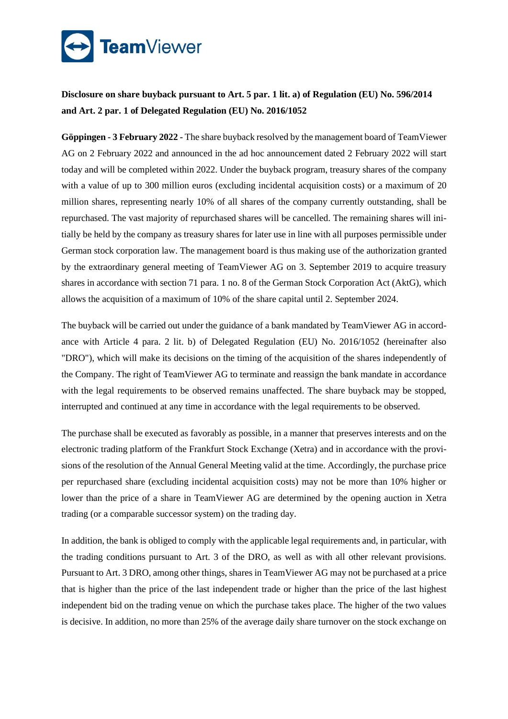

**Disclosure on share buyback pursuant to Art. 5 par. 1 lit. a) of Regulation (EU) No. 596/2014 and Art. 2 par. 1 of Delegated Regulation (EU) No. 2016/1052**

**Göppingen - 3 February 2022 -** The share buyback resolved by the management board of TeamViewer AG on 2 February 2022 and announced in the ad hoc announcement dated 2 February 2022 will start today and will be completed within 2022. Under the buyback program, treasury shares of the company with a value of up to 300 million euros (excluding incidental acquisition costs) or a maximum of 20 million shares, representing nearly 10% of all shares of the company currently outstanding, shall be repurchased. The vast majority of repurchased shares will be cancelled. The remaining shares will initially be held by the company as treasury shares for later use in line with all purposes permissible under German stock corporation law. The management board is thus making use of the authorization granted by the extraordinary general meeting of TeamViewer AG on 3. September 2019 to acquire treasury shares in accordance with section 71 para. 1 no. 8 of the German Stock Corporation Act (AktG), which allows the acquisition of a maximum of 10% of the share capital until 2. September 2024.

The buyback will be carried out under the guidance of a bank mandated by TeamViewer AG in accordance with Article 4 para. 2 lit. b) of Delegated Regulation (EU) No. 2016/1052 (hereinafter also "DRO"), which will make its decisions on the timing of the acquisition of the shares independently of the Company. The right of TeamViewer AG to terminate and reassign the bank mandate in accordance with the legal requirements to be observed remains unaffected. The share buyback may be stopped, interrupted and continued at any time in accordance with the legal requirements to be observed.

The purchase shall be executed as favorably as possible, in a manner that preserves interests and on the electronic trading platform of the Frankfurt Stock Exchange (Xetra) and in accordance with the provisions of the resolution of the Annual General Meeting valid at the time. Accordingly, the purchase price per repurchased share (excluding incidental acquisition costs) may not be more than 10% higher or lower than the price of a share in TeamViewer AG are determined by the opening auction in Xetra trading (or a comparable successor system) on the trading day.

In addition, the bank is obliged to comply with the applicable legal requirements and, in particular, with the trading conditions pursuant to Art. 3 of the DRO, as well as with all other relevant provisions. Pursuant to Art. 3 DRO, among other things, shares in TeamViewer AG may not be purchased at a price that is higher than the price of the last independent trade or higher than the price of the last highest independent bid on the trading venue on which the purchase takes place. The higher of the two values is decisive. In addition, no more than 25% of the average daily share turnover on the stock exchange on